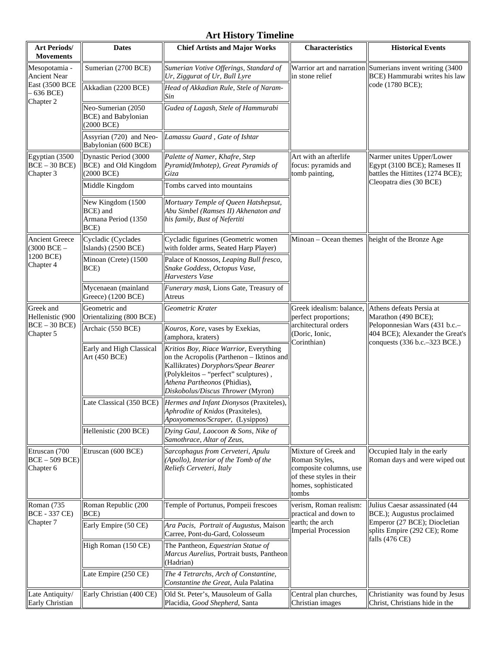# **Art History Timeline**

| <b>Art Periods/</b><br><b>Movements</b>                                             | <b>Dates</b>                                                          | <b>Chief Artists and Major Works</b>                                                                                                                                                                                                     | Characteristics                                                                                                              | <b>Historical Events</b>                                                                                                                             |
|-------------------------------------------------------------------------------------|-----------------------------------------------------------------------|------------------------------------------------------------------------------------------------------------------------------------------------------------------------------------------------------------------------------------------|------------------------------------------------------------------------------------------------------------------------------|------------------------------------------------------------------------------------------------------------------------------------------------------|
| Mesopotamia -<br>Ancient Near<br><b>East (3500 BCE)</b><br>$-636$ BCE)<br>Chapter 2 | Sumerian (2700 BCE)                                                   | Sumerian Votive Offerings, Standard of<br>Ur, Ziggurat of Ur, Bull Lyre                                                                                                                                                                  | in stone relief                                                                                                              | Warrior art and narration Sumerians invent writing (3400<br>BCE) Hammurabi writes his law<br>code (1780 BCE);                                        |
|                                                                                     | Akkadian (2200 BCE)                                                   | Head of Akkadian Rule, Stele of Naram-<br>Sin                                                                                                                                                                                            |                                                                                                                              |                                                                                                                                                      |
|                                                                                     | Neo-Sumerian (2050<br><b>BCE</b> ) and Babylonian<br>(2000 BCE)       | Gudea of Lagash, Stele of Hammurabi                                                                                                                                                                                                      |                                                                                                                              |                                                                                                                                                      |
|                                                                                     | Assyrian (720) and Neo-<br>Babylonian (600 BCE)                       | Lamassu Guard, Gate of Ishtar                                                                                                                                                                                                            |                                                                                                                              |                                                                                                                                                      |
| Egyptian (3500<br>$BCE - 30 BCE$<br>Chapter 3                                       | Dynastic Period (3000<br>BCE) and Old Kingdom<br>$(2000 \text{ BCE})$ | Palette of Namer, Khafre, Step<br>Pyramid(Imhotep), Great Pyramids of<br>Giza                                                                                                                                                            | Art with an afterlife<br>focus: pyramids and<br>tomb painting,                                                               | Narmer unites Upper/Lower<br>Egypt (3100 BCE); Rameses II<br>battles the Hittites (1274 BCE);<br>Cleopatra dies (30 BCE)                             |
|                                                                                     | Middle Kingdom                                                        | Tombs carved into mountains                                                                                                                                                                                                              |                                                                                                                              |                                                                                                                                                      |
|                                                                                     | New Kingdom (1500<br>BCE) and<br>Armana Period (1350<br>BCE)          | Mortuary Temple of Queen Hatshepsut,<br>Abu Simbel (Ramses II) Akhenaton and<br>his family, Bust of Nefertiti                                                                                                                            |                                                                                                                              |                                                                                                                                                      |
| <b>Ancient Greece</b><br>$(3000 \text{ BCE} -$<br>1200 BCE)<br>Chapter 4            | Cycladic (Cyclades<br>Islands) (2500 BCE)                             | Cycladic figurines (Geometric women<br>with folder arms, Seated Harp Player)                                                                                                                                                             |                                                                                                                              | Minoan – Ocean themes $\vert$ height of the Bronze Age                                                                                               |
|                                                                                     | Minoan (Crete) (1500<br>BCE)                                          | Palace of Knossos, Leaping Bull fresco,<br>Snake Goddess, Octopus Vase,<br>Harvesters Vase                                                                                                                                               |                                                                                                                              |                                                                                                                                                      |
|                                                                                     | Mycenaean (mainland<br>Greece) (1200 BCE)                             | Funerary mask, Lions Gate, Treasury of<br>Atreus                                                                                                                                                                                         |                                                                                                                              |                                                                                                                                                      |
| Greek and<br>Hellenistic (900<br>$BCE - 30 BCE$<br>Chapter 5                        | Geometric and<br>Orientalizing (800 BCE)                              | Geometric Krater                                                                                                                                                                                                                         | Greek idealism: balance,<br>perfect proportions;<br>architectural orders<br>(Doric, Ionic,<br>Corinthian)                    | Athens defeats Persia at<br>Marathon (490 BCE);<br>Peloponnesian Wars (431 b.c.-<br>404 BCE); Alexander the Great's<br>conquests (336 b.c.–323 BCE.) |
|                                                                                     | Archaic (550 BCE)                                                     | Kouros, Kore, vases by Exekias,<br>(amphora, kraters)                                                                                                                                                                                    |                                                                                                                              |                                                                                                                                                      |
|                                                                                     | Early and High Classical<br>Art (450 BCE)                             | Kritios Boy, Riace Warrior, Everything<br>on the Acropolis (Parthenon - Iktinos and<br>Kallikrates) Doryphors/Spear Bearer<br>(Polykleitos - "perfect" sculptures),<br>Athena Partheonos (Phidias),<br>Diskobolus/Discus Thrower (Myron) |                                                                                                                              |                                                                                                                                                      |
|                                                                                     |                                                                       | Late Classical (350 BCE) Hermes and Infant Dionysos (Praxiteles),<br>Aphrodite of Knidos (Praxiteles),<br>Apoxyomenos/Scraper, (Lysippos)                                                                                                |                                                                                                                              |                                                                                                                                                      |
|                                                                                     | Hellenistic (200 BCE)                                                 | Dying Gaul, Laocoon & Sons, Nike of<br>Samothrace, Altar of Zeus,                                                                                                                                                                        |                                                                                                                              |                                                                                                                                                      |
| Etruscan (700<br>$BCE - 509 BCE$<br>Chapter 6                                       | Etruscan (600 BCE)                                                    | Sarcophagus from Cerveteri, Apulu<br>(Apollo), Interior of the Tomb of the<br>Reliefs Cerveteri, Italy                                                                                                                                   | Mixture of Greek and<br>Roman Styles,<br>composite columns, use<br>of these styles in their<br>homes, sophisticated<br>tombs | Occupied Italy in the early<br>Roman days and were wiped out                                                                                         |
| Roman (735<br><b>BCE - 337 CE)</b><br>Chapter 7                                     | Roman Republic (200<br>BCE)                                           | Temple of Portunus, Pompeii frescoes                                                                                                                                                                                                     | verism, Roman realism:<br>practical and down to<br>earth; the arch<br><b>Imperial Procession</b>                             | Julius Caesar assassinated (44<br>BCE.); Augustus proclaimed<br>Emperor (27 BCE); Diocletian<br>splits Empire (292 CE); Rome<br>falls (476 CE)       |
|                                                                                     | Early Empire (50 CE)                                                  | Ara Pacis, Portrait of Augustus, Maison<br>Carree, Pont-du-Gard, Colosseum                                                                                                                                                               |                                                                                                                              |                                                                                                                                                      |
|                                                                                     | High Roman (150 CE)                                                   | The Pantheon, Equestrian Statue of<br>Marcus Aurelius, Portrait busts, Pantheon<br>(Hadrian)                                                                                                                                             |                                                                                                                              |                                                                                                                                                      |
|                                                                                     | Late Empire (250 CE)                                                  | The 4 Tetrarchs, Arch of Constantine,<br>Constantine the Great, Aula Palatina                                                                                                                                                            |                                                                                                                              |                                                                                                                                                      |
| Late Antiquity/<br>Early Christian                                                  | Early Christian (400 CE)                                              | Old St. Peter's, Mausoleum of Galla<br>Placidia, Good Shepherd, Santa                                                                                                                                                                    | Central plan churches,<br>Christian images                                                                                   | Christianity was found by Jesus<br>Christ, Christians hide in the                                                                                    |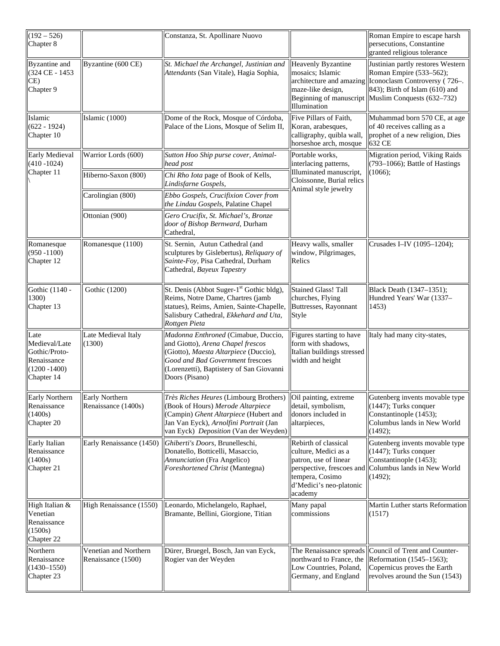| $(192 - 526)$<br>Chapter 8                                                             |                                              | Constanza, St. Apollinare Nuovo                                                                                                                                                                                     |                                                                                                                                                             | Roman Empire to escape harsh<br>persecutions, Constantine<br>granted religious tolerance                                                                                                                         |
|----------------------------------------------------------------------------------------|----------------------------------------------|---------------------------------------------------------------------------------------------------------------------------------------------------------------------------------------------------------------------|-------------------------------------------------------------------------------------------------------------------------------------------------------------|------------------------------------------------------------------------------------------------------------------------------------------------------------------------------------------------------------------|
| <b>Byzantine</b> and<br>(324 CE - 1453<br>CE)<br>Chapter 9                             | Byzantine (600 CE)                           | St. Michael the Archangel, Justinian and<br>Attendants (San Vitale), Hagia Sophia,                                                                                                                                  | Heavenly Byzantine<br>mosaics; Islamic<br>maze-like design,<br>Illumination                                                                                 | Justinian partly restores Western<br>Roman Empire (533-562);<br>architecture and amazing   Iconoclasm Controversy (726–.<br>843); Birth of Islam (610) and<br>Beginning of manuscript Muslim Conquests (632-732) |
| Islamic<br>$(622 - 1924)$<br>Chapter 10                                                | Islamic (1000)                               | Dome of the Rock, Mosque of Córdoba,<br>Palace of the Lions, Mosque of Selim II,                                                                                                                                    | Five Pillars of Faith,<br>Koran, arabesques,<br>calligraphy, quibla wall,<br>horseshoe arch, mosque                                                         | Muhammad born 570 CE, at age<br>of 40 receives calling as a<br>prophet of a new religion, Dies<br>632 CE                                                                                                         |
| <b>Early Medieval</b><br>$(410 - 1024)$<br>Chapter 11                                  | Warrior Lords (600)                          | Sutton Hoo Ship purse cover, Animal-<br>head post                                                                                                                                                                   | Portable works,<br>interlacing patterns,<br>Illuminated manuscript,<br>Cloissonne, Burial relics<br>Animal style jewelry                                    | Migration period, Viking Raids<br>$(793-1066)$ ; Battle of Hastings<br>(1066);                                                                                                                                   |
|                                                                                        | Hiberno-Saxon (800)                          | Chi Rho Iota page of Book of Kells,<br>Lindisfarne Gospels,                                                                                                                                                         |                                                                                                                                                             |                                                                                                                                                                                                                  |
|                                                                                        | Carolingian (800)                            | Ebbo Gospels, Crucifixion Cover from<br>the Lindau Gospels, Palatine Chapel                                                                                                                                         |                                                                                                                                                             |                                                                                                                                                                                                                  |
|                                                                                        | Ottonian (900)                               | Gero Crucifix, St. Michael's, Bronze<br>door of Bishop Bernward, Durham<br>Cathedral,                                                                                                                               |                                                                                                                                                             |                                                                                                                                                                                                                  |
| Romanesque<br>$(950 - 1100)$<br>Chapter 12                                             | Romanesque (1100)                            | St. Sernin, Autun Cathedral (and<br>sculptures by Gislebertus), Reliquary of<br>Sainte-Foy, Pisa Cathedral, Durham<br>Cathedral, Bayeux Tapestry                                                                    | Heavy walls, smaller<br>window, Pilgrimages,<br>Relics                                                                                                      | Crusades I-IV (1095-1204);                                                                                                                                                                                       |
| Gothic (1140 -<br>1300)<br>Chapter 13                                                  | Gothic (1200)                                | St. Denis (Abbot Suger-1 <sup>st</sup> Gothic bldg),<br>Reims, Notre Dame, Chartres (jamb<br>statues), Reims, Amien, Sainte-Chapelle,<br>Salisbury Cathedral, Ekkehard and Uta,<br>Rottgen Pieta                    | <b>Stained Glass! Tall</b><br>churches, Flying<br>Buttresses, Rayonnant<br>Style                                                                            | Black Death (1347-1351);<br>Hundred Years' War (1337-<br>1453)                                                                                                                                                   |
| Late<br>Medieval/Late<br>Gothic/Proto-<br>Renaissance<br>$(1200 - 1400)$<br>Chapter 14 | Late Medieval Italy<br>(1300)                | Madonna Enthroned (Cimabue, Duccio,<br>and Giotto), Arena Chapel frescos<br>(Giotto), Maesta Altarpiece (Duccio),<br>Good and Bad Government frescoes<br>(Lorenzetti), Baptistery of San Giovanni<br>Doors (Pisano) | Figures starting to have<br>form with shadows,<br>Italian buildings stressed<br>width and height                                                            | Italy had many city-states,                                                                                                                                                                                      |
| <b>Early Northern</b><br>Renaissance<br>(1400s)<br>Chapter 20                          | <b>Early Northern</b><br>Renaissance (1400s) | Très Riches Heures (Limbourg Brothers)<br>(Book of Hours) Merode Altarpiece<br>(Campin) Ghent Altarpiece (Hubert and<br>Jan Van Eyck), Arnolfini Portrait (Jan<br>van Eyck) Deposition (Van der Weyden)             | Oil painting, extreme<br>detail, symbolism,<br>donors included in<br>altarpieces,                                                                           | Gutenberg invents movable type<br>(1447); Turks conquer<br>Constantinople (1453);<br>Columbus lands in New World<br>(1492);                                                                                      |
| Early Italian<br>Renaissance<br>(1400s)<br>Chapter 21                                  | Early Renaissance (1450)                     | Ghiberti's Doors, Brunelleschi,<br>Donatello, Botticelli, Masaccio,<br>Annunciation (Fra Angelico)<br>Foreshortened Christ (Mantegna)                                                                               | Rebirth of classical<br>culture, Medici as a<br>patron, use of linear<br>perspective, frescoes and<br>tempera, Cosimo<br>d'Medici's neo-platonic<br>academy | Gutenberg invents movable type<br>$(1447)$ ; Turks conquer<br>Constantinople (1453);<br>Columbus lands in New World<br>(1492);                                                                                   |
| High Italian &<br>Venetian<br>Renaissance<br>(1500s)<br>Chapter 22                     | High Renaissance (1550)                      | Leonardo, Michelangelo, Raphael,<br>Bramante, Bellini, Giorgione, Titian                                                                                                                                            | Many papal<br>commissions                                                                                                                                   | Martin Luther starts Reformation<br>(1517)                                                                                                                                                                       |
| Northern<br>Renaissance<br>$(1430 - 1550)$<br>Chapter 23                               | Venetian and Northern<br>Renaissance (1500)  | Dürer, Bruegel, Bosch, Jan van Eyck,<br>Rogier van der Weyden                                                                                                                                                       | The Renaissance spreads<br>northward to France, the<br>Low Countries, Poland,<br>Germany, and England                                                       | Council of Trent and Counter-<br>Reformation (1545-1563);<br>Copernicus proves the Earth<br>revolves around the Sun (1543)                                                                                       |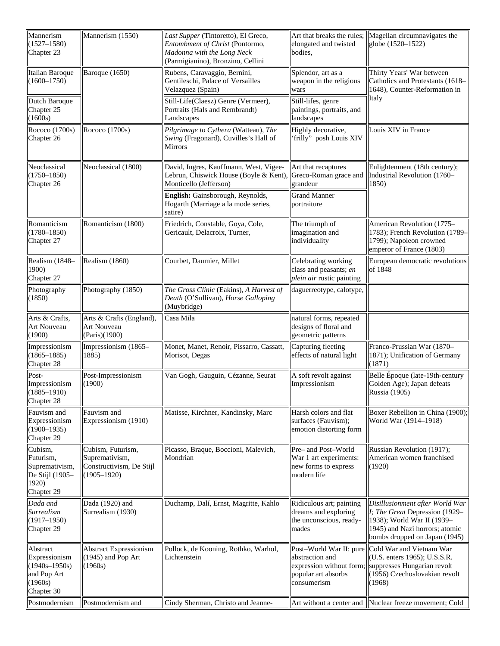| Mannerism<br>$(1527 - 1580)$<br>Chapter 23                                             | Mannerism (1550)                                                                   | Last Supper (Tintoretto), El Greco,<br>Entombment of Christ (Pontormo,<br>Madonna with the Long Neck<br>(Parmigianino), Bronzino, Cellini | elongated and twisted<br>bodies,                                                                             | Art that breaks the rules;   Magellan circumnavigates the<br>globe (1520-1522)                                                                                     |
|----------------------------------------------------------------------------------------|------------------------------------------------------------------------------------|-------------------------------------------------------------------------------------------------------------------------------------------|--------------------------------------------------------------------------------------------------------------|--------------------------------------------------------------------------------------------------------------------------------------------------------------------|
| Italian Baroque<br>$(1600 - 1750)$                                                     | Baroque (1650)                                                                     | Rubens, Caravaggio, Bernini,<br>Gentileschi, Palace of Versailles<br>Velazquez (Spain)                                                    | Splendor, art as a<br>weapon in the religious<br>wars                                                        | Thirty Years' War between<br>Catholics and Protestants (1618-<br>1648), Counter-Reformation in                                                                     |
| Dutch Baroque<br>Chapter 25<br>(1600s)                                                 |                                                                                    | Still-Life(Claesz) Genre (Vermeer),<br>Portraits (Hals and Rembrandt)<br>Landscapes                                                       | Still-lifes, genre<br>paintings, portraits, and<br>landscapes                                                | Italy                                                                                                                                                              |
| Rococo (1700s)<br>Chapter 26                                                           | Rococo (1700s)                                                                     | Pilgrimage to Cythera (Watteau), The<br>Swing (Fragonard), Cuvilles's Hall of<br><b>Mirrors</b>                                           | Highly decorative,<br>'frilly" posh Louis XIV                                                                | Louis XIV in France                                                                                                                                                |
| Neoclassical<br>$(1750 - 1850)$<br>Chapter 26                                          | Neoclassical (1800)                                                                | David, Ingres, Kauffmann, West, Vigee-<br>Lebrun, Chiswick House (Boyle & Kent),<br>Monticello (Jefferson)                                | Art that recaptures<br>Greco-Roman grace and<br>grandeur                                                     | Enlightenment (18th century);<br>Industrial Revolution (1760-<br>1850)                                                                                             |
|                                                                                        |                                                                                    | English: Gainsborough, Reynolds,<br>Hogarth (Marriage a la mode series,<br>satire)                                                        | <b>Grand Manner</b><br>portraiture                                                                           |                                                                                                                                                                    |
| Romanticism<br>$(1780 - 1850)$<br>Chapter 27                                           | Romanticism (1800)                                                                 | Friedrich, Constable, Goya, Cole,<br>Gericault, Delacroix, Turner,                                                                        | The triumph of<br>imagination and<br>individuality                                                           | American Revolution (1775-<br>1783); French Revolution (1789-<br>1799); Napoleon crowned<br>emperor of France (1803)                                               |
| Realism (1848-<br>1900)<br>Chapter 27                                                  | Realism (1860)                                                                     | Courbet, Daumier, Millet                                                                                                                  | Celebrating working<br>class and peasants; en<br>plein air rustic painting                                   | European democratic revolutions<br>of 1848                                                                                                                         |
| Photography<br>(1850)                                                                  | Photography (1850)                                                                 | The Gross Clinic (Eakins), A Harvest of<br>Death (O'Sullivan), Horse Galloping<br>(Muybridge)                                             | daguerreotype, calotype,                                                                                     |                                                                                                                                                                    |
| Arts & Crafts,<br>Art Nouveau<br>(1900)                                                | Arts & Crafts (England),<br>Art Nouveau<br>(Paris)(1900)                           | Casa Mila                                                                                                                                 | natural forms, repeated<br>designs of floral and<br>geometric patterns                                       |                                                                                                                                                                    |
| Impressionism<br>$(1865 - 1885)$<br>Chapter 28                                         | Impressionism (1865-<br>1885)                                                      | Monet, Manet, Renoir, Pissarro, Cassatt,<br>Morisot, Degas                                                                                | Capturing fleeting<br>effects of natural light                                                               | Franco-Prussian War (1870-<br>1871); Unification of Germany<br>(1871)                                                                                              |
| Post-<br>Impressionism<br>$(1885 - 1910)$<br>Chapter 28                                | Post-Impressionism<br>(1900)                                                       | Van Gogh, Gauguin, Cézanne, Seurat                                                                                                        | A soft revolt against<br>Impressionism                                                                       | Belle Époque (late-19th-century<br>Golden Age); Japan defeats<br>Russia (1905)                                                                                     |
| Fauvism and<br>Expressionism<br>$(1900 - 1935)$<br>Chapter 29                          | Fauvism and<br>Expressionism (1910)                                                | Matisse, Kirchner, Kandinsky, Marc                                                                                                        | Harsh colors and flat<br>surfaces (Fauvism);<br>emotion distorting form                                      | Boxer Rebellion in China (1900);<br>World War (1914-1918)                                                                                                          |
| Cubism,<br>Futurism,<br>Supremativism,<br>De Stijl (1905-<br>1920)<br>Chapter 29       | Cubism, Futurism,<br>Supremativism,<br>Constructivism, De Stijl<br>$(1905 - 1920)$ | Picasso, Braque, Boccioni, Malevich,<br>Mondrian                                                                                          | Pre- and Post-World<br>War 1 art experiments:<br>new forms to express<br>modern life                         | Russian Revolution (1917);<br>American women franchised<br>(1920)                                                                                                  |
| Dada and<br>Surrealism<br>$(1917 - 1950)$<br>Chapter 29                                | Dada (1920) and<br>Surrealism (1930)                                               | Duchamp, Dalí, Ernst, Magritte, Kahlo                                                                                                     | Ridiculous art; painting<br>dreams and exploring<br>the unconscious, ready-<br>mades                         | Disillusionment after World War<br>I; The Great Depression (1929–<br>1938); World War II (1939-<br>1945) and Nazi horrors; atomic<br>bombs dropped on Japan (1945) |
| Abstract<br>Expressionism<br>$(1940s - 1950s)$<br>and Pop Art<br>(1960s)<br>Chapter 30 | <b>Abstract Expressionism</b><br>(1945) and Pop Art<br>(1960s)                     | Pollock, de Kooning, Rothko, Warhol,<br>Lichtenstein                                                                                      | Post-World War II: pure<br>abstraction and<br>expression without form;<br>popular art absorbs<br>consumerism | Cold War and Vietnam War<br>(U.S. enters 1965); U.S.S.R.<br>suppresses Hungarian revolt<br>(1956) Czechoslovakian revolt<br>(1968)                                 |
| Postmodernism                                                                          | Postmodernism and                                                                  | Cindy Sherman, Christo and Jeanne-                                                                                                        | Art without a center and                                                                                     | Nuclear freeze movement; Cold                                                                                                                                      |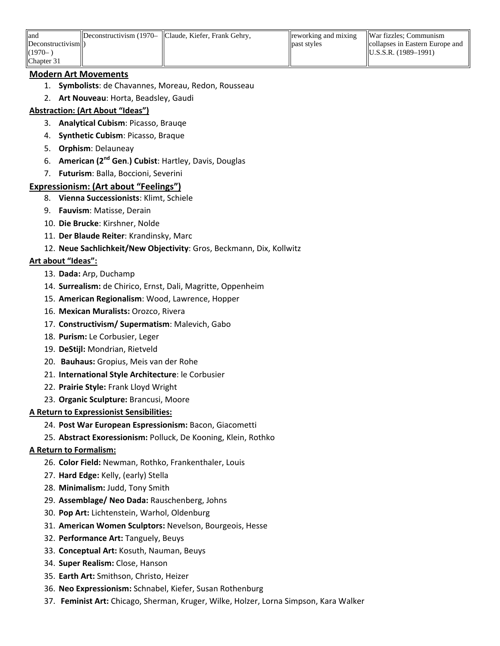| land                            | Deconstructivism (1970– Claude, Kiefer, Frank Gehry, | <b>The Treat Setupe Setupe</b> Inter- | War fizzles; Communism          |
|---------------------------------|------------------------------------------------------|---------------------------------------|---------------------------------|
| Deconstructivism <sup>(1)</sup> |                                                      | <b>past styles</b>                    | collapses in Eastern Europe and |
| $(1970 -$                       |                                                      |                                       | $\text{IU.S.S.R.}$ (1989–1991)  |
| Chapter 31                      |                                                      |                                       |                                 |

#### **Modern Art Movements**

- 1. **Symbolists**: de Chavannes, Moreau, Redon, Rousseau
- 2. **Art Nouveau**: Horta, Beadsley, Gaudi

### **Abstraction: (Art About "Ideas")**

- 3. **Analytical Cubism**: Picasso, Brauqe
- 4. **Synthetic Cubism**: Picasso, Braque
- 5. **Orphism**: Delauneay
- 6. **American (2nd Gen**.**) Cubist**: Hartley, Davis, Douglas
- 7. **Futurism**: Balla, Boccioni, Severini

### **Expressionism: (Art about "Feelings")**

- 8. **Vienna Successionists**: Klimt, Schiele
- 9. **Fauvism**: Matisse, Derain
- 10. **Die Brucke**: Kirshner, Nolde
- 11. **Der Blaude Reiter**: Krandinsky, Marc
- 12. **Neue Sachlichkeit/New Objectivity**: Gros, Beckmann, Dix, Kollwitz

### **Art about "Ideas":**

- 13. **Dada:** Arp, Duchamp
- 14. **Surrealism:** de Chirico, Ernst, Dali, Magritte, Oppenheim
- 15. **American Regionalism**: Wood, Lawrence, Hopper
- 16. **Mexican Muralists:** Orozco, Rivera
- 17. **Constructivism/ Supermatism**: Malevich, Gabo
- 18. **Purism:** Le Corbusier, Leger
- 19. **DeStijl:** Mondrian, Rietveld
- 20. **Bauhaus:** Gropius, Meis van der Rohe
- 21. **International Style Architecture**: le Corbusier
- 22. **Prairie Style:** Frank Lloyd Wright
- 23. **Organic Sculpture:** Brancusi, Moore

### **A Return to Expressionist Sensibilities:**

- 24. **Post War European Espressionism:** Bacon, Giacometti
- 25. **Abstract Exoressionism:** Polluck, De Kooning, Klein, Rothko

### **A Return to Formalism:**

- 26. **Color Field:** Newman, Rothko, Frankenthaler, Louis
- 27. **Hard Edge:** Kelly, (early) Stella
- 28. **Minimalism:** Judd, Tony Smith
- 29. **Assemblage/ Neo Dada:** Rauschenberg, Johns
- 30. **Pop Art:** Lichtenstein, Warhol, Oldenburg
- 31. **American Women Sculptors:** Nevelson, Bourgeois, Hesse
- 32. **Performance Art:** Tanguely, Beuys
- 33. **Conceptual Art:** Kosuth, Nauman, Beuys
- 34. **Super Realism:** Close, Hanson
- 35. **Earth Art:** Smithson, Christo, Heizer
- 36. **Neo Expressionism:** Schnabel, Kiefer, Susan Rothenburg
- 37. **Feminist Art:** Chicago, Sherman, Kruger, Wilke, Holzer, Lorna Simpson, Kara Walker